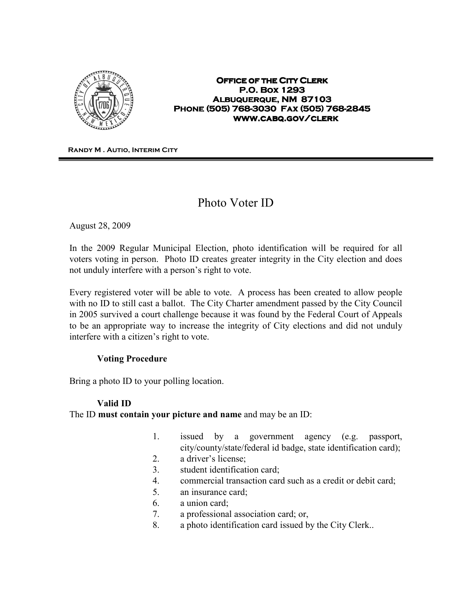

#### **OFFICE OF THE CITY CLERK P.O. Box 1293 P.O. 1293 ALBUQUERQUE, NM 87103 Phone (505) 768- Phone (505) 768-3030 Fax (505) 768 3030 768-2845 www.cabq.gov/clerk**

**Randy M . Autio, Interim City Clerk**

# Photo Voter ID

August 28, 2009

In the 2009 Regular Municipal Election, photo identification will be required for all voters voting in person. Photo ID creates greater integrity in the City election and does not unduly interfere with a person's right to vote.

Every registered voter will be able to vote. A process has been created to allow people with no ID to still cast a ballot. The City Charter amendment passed by the City Council in 2005 survived a court challenge because it was found by the Federal Court of Appeals to be an appropriate way to increase the integrity of City elections and did not unduly interfere with a citizen's right to vote.

### Voting Procedure

Bring a photo ID to your polling location.

## Valid ID

The ID must contain your picture and name and may be an ID:

- 1. issued by a government agency (e.g. passport, city/county/state/federal id badge, state identification card);
- 2. a driver's license;
- 3. student identification card;
- 4. commercial transaction card such as a credit or debit card;
- 5. an insurance card;
- 6. a union card;
- 7. a professional association card; or,
- 8. a photo identification card issued by the City Clerk..